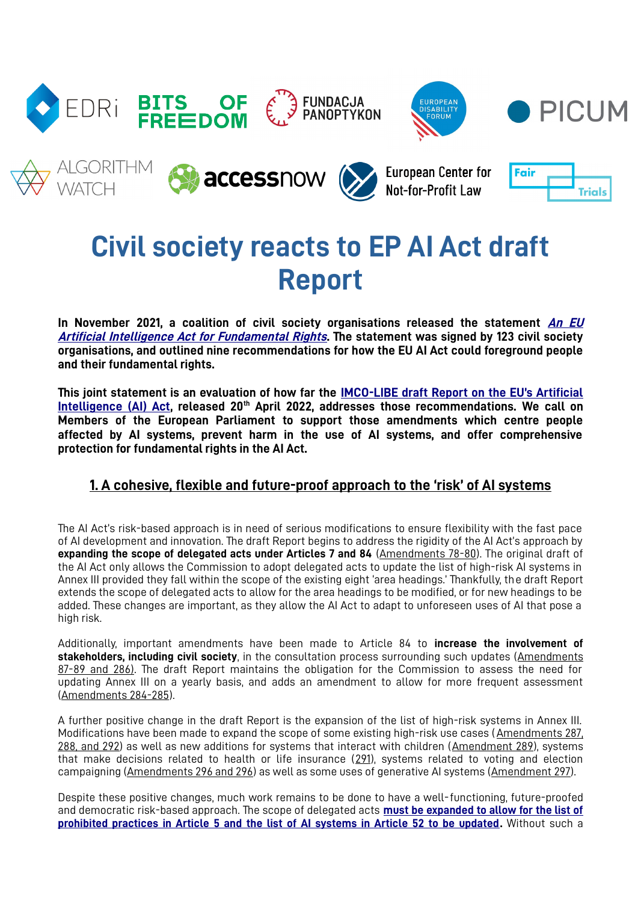

# **Civil society reacts to EP AI Act draft Report**

**In November 2021, a coalition of civil society organisations released the statement [An](https://edri.org/wp-content/uploads/2021/12/Political-statement-on-AI-Act.pdf) EU [Artificial Intelligence Act for Fundamental Rights](https://edri.org/wp-content/uploads/2021/12/Political-statement-on-AI-Act.pdf). The statement was signed by 123 civil society organisations, and outlined nine recommendations for how the EU AI Act could foreground people and their fundamental rights.**

**This joint statement is an evaluation of how far the [IMCO-LIBE draft Report on the EU's Artificial](https://www.europarl.europa.eu/doceo/document/CJ40-PR-731563_EN.pdf) [Intelligence \(AI\) Act](https://www.europarl.europa.eu/doceo/document/CJ40-PR-731563_EN.pdf), released 20th April 2022, addresses those recommendations. We call on Members of the European Parliament to support those amendments which centre people affected by AI systems, prevent harm in the use of AI systems, and offer comprehensive protection for fundamental rights in the AI Act.** 

## **1. A cohesive, flexible and future-proof approach to the 'risk' of AI systems**

The AI Act's risk-based approach is in need of serious modifications to ensure flexibility with the fast pace of AI development and innovation. The draft Report begins to address the rigidity of the AI Act's approach by **expanding the scope of delegated acts under Articles 7 and 84** (Amendments 78-80). The original draft of the AI Act only allows the Commission to adopt delegated acts to update the list of high-risk AI systems in Annex III provided they fall within the scope of the existing eight 'area headings.' Thankfully, the draft Report extends the scope of delegated acts to allow for the area headings to be modified, or for new headings to be added. These changes are important, as they allow the AI Act to adapt to unforeseen uses of AI that pose a high risk.

Additionally, important amendments have been made to Article 84 to **increase the involvement of stakeholders, including civil society**, in the consultation process surrounding such updates (Amendments 87-89 and 286). The draft Report maintains the obligation for the Commission to assess the need for updating Annex III on a yearly basis, and adds an amendment to allow for more frequent assessment (Amendments 284-285).

A further positive change in the draft Report is the expansion of the list of high-risk systems in Annex III. Modifications have been made to expand the scope of some existing high-risk use cases (Amendments 287, 288, and 292) as well as new additions for systems that interact with children (Amendment 289), systems that make decisions related to health or life insurance (291), systems related to voting and election campaigning (Amendments 296 and 296) as well as some uses of generative AI systems (Amendment 297).

Despite these positive changes, much work remains to be done to have a well-functioning, future-proofed and democratic risk-based approach. The scope of delegated acts **[must be expanded to allow for the list of](https://accessnow.org/AIAct-risk-approach) [prohibited practices in Article 5 and the list of AI systems in Article 52 to be updated.](https://accessnow.org/AIAct-risk-approach)** Without such a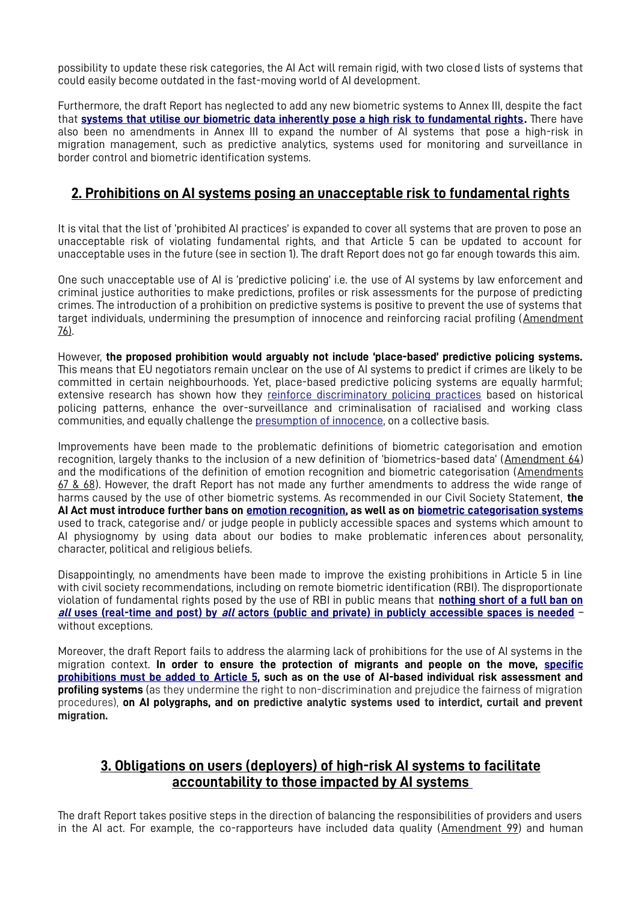possibility to update these risk categories, the AI Act will remain rigid, with two closed lists of systems that could easily become outdated in the fast-moving world of AI development.

Furthermore, the draft Report has neglected to add any new biometric systems to Annex III, despite the fact that **[systems that utilise our biometric data inherently pose a high risk to fundamental rights](https://edri.org/wp-content/uploads/2022/05/Strictly-regulate-high-risk-uses-of-biometrics-Civil-Society-Amendments-AI-Act-FINAL.pdf).** There have also been no amendments in Annex III to expand the number of AI systems that pose a high-risk in migration management, such as predictive analytics, systems used for monitoring and surveillance in border control and biometric identification systems.

#### **2. Prohibitions on AI systems posing an unacceptable risk to fundamental rights**

It is vital that the list of 'prohibited AI practices' is expanded to cover all systems that are proven to pose an unacceptable risk of violating fundamental rights, and that Article 5 can be updated to account for unacceptable uses in the future (see in section 1). The draft Report does not go far enough towards this aim.

One such unacceptable use of AI is 'predictive policing' i.e. the use of AI systems by law enforcement and criminal justice authorities to make predictions, profiles or risk assessments for the purpose of predicting crimes. The introduction of a prohibition on predictive systems is positive to prevent the use of systems that target individuals, undermining the presumption of innocence and reinforcing racial profiling (Amendment 76).

However, **the proposed prohibition would arguably not include 'place-based' predictive policing systems.** This means that EU negotiators remain unclear on the use of AI systems to predict if crimes are likely to be committed in certain neighbourhoods. Yet, place-based predictive policing systems are equally harmful; extensive research has shown how they [reinforce discriminatory policing practices](https://www.enar-eu.org/data-driven-policing-is-leading-to-racial-profiling/) based on historical policing patterns, enhance the over-surveillance and criminalisation of racialised and working class communities, and equally challenge the [presumption of innocence,](https://www.fairtrials.org/articles/news/ai-act-eu-must-ban-predictive-ai-systems-in-policing-and-criminal-justice/) on a collective basis.

Improvements have been made to the problematic definitions of biometric categorisation and emotion recognition, largely thanks to the inclusion of a new definition of 'biometrics-based data' (Amendment 64) and the modifications of the definition of emotion recognition and biometric categorisation (Amendments 67 & 68). However, the draft Report has not made any further amendments to address the wide range of harms caused by the use of other biometric systems. As recommended in our Civil Society Statement, **the AI Act must introduce further bans on [emotion recognition,](https://www.accessnow.org/AIAct-emotion-recognition) as well as on [biometric categorisation systems](https://www.accessnow.org/AIAct-biometric-categorisation)** used to track, categorise and/ or judge people in publicly accessible spaces and systems which amount to AI physiognomy by using data about our bodies to make problematic inferences about personality, character, political and religious beliefs.

Disappointingly, no amendments have been made to improve the existing prohibitions in Article 5 in line with civil society recommendations, including on remote biometric identification (RBI). The disproportionate violation of fundamental rights posed by the use of RBI in public means that **[nothing short of a full ban on](https://edri.org/wp-content/uploads/2022/05/Prohibit-RBI-in-publicly-accessible-spaces-Civil-Society-Amendments-AI-Act-FINAL.pdf) all uses (real-time and post) by all [actors \(public and private\) in publicly accessible spaces is needed](https://edri.org/wp-content/uploads/2022/05/Prohibit-RBI-in-publicly-accessible-spaces-Civil-Society-Amendments-AI-Act-FINAL.pdf)** – without exceptions.

Moreover, the draft Report fails to address the alarming lack of prohibitions for the use of AI systems in the migration context. **In order to ensure the protection of migrants and people on the move, [specific](https://edri.org/wp-content/uploads/2022/05/Migration_2-pager-02052022-for-online.pdf)  [prohibitions must be added to Article 5](https://edri.org/wp-content/uploads/2022/05/Migration_2-pager-02052022-for-online.pdf), such as on the use of AI-based individual risk assessment and profiling systems** (as they undermine the right to non-discrimination and prejudice the fairness of migration procedures), **on AI polygraphs, and on predictive analytic systems used to interdict, curtail and prevent migration.**

#### **3. Obligations on users ( deployers ) of high-risk AI systems to facilitate accountability to those impacted by AI systems**

The draft Report takes positive steps in the direction of balancing the responsibilities of providers and users in the AI act. For example, the co-rapporteurs have included data quality (Amendment 99) and human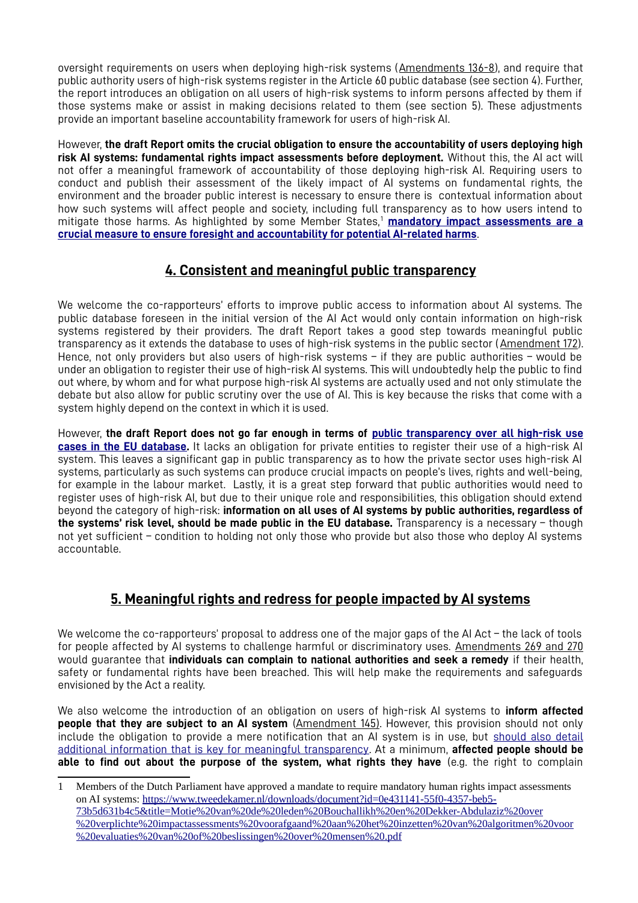oversight requirements on users when deploying high-risk systems (Amendments 136-8), and require that public authority users of high-risk systems register in the Article 60 public database (see section 4). Further, the report introduces an obligation on all users of high-risk systems to inform persons affected by them if those systems make or assist in making decisions related to them (see section 5). These adjustments provide an important baseline accountability framework for users of high-risk AI.

However, **the draft Report omits the crucial obligation to ensure the accountability of users deploying high risk AI systems: fundamental rights impact assessments before deployment.** Without this, the AI act will not offer a meaningful framework of accountability of those deploying high-risk AI. Requiring users to conduct and publish their assessment of the likely impact of AI systems on fundamental rights, the environment and the broader public interest is necessary to ensure there is contextual information about how such systems will affect people and society, including full transparency as to how users intend to mitigate those harms. As highlighted by some Member States,<sup>[1](#page-2-1)</sup> [mandatory impact assessments are a](https://edri.org/wp-content/uploads/2022/05/Obligations-on-users-AIA-Amendments-17022022.pdf) **[crucial measure to ensure foresight and accountability for potential AI-related harms](https://edri.org/wp-content/uploads/2022/05/Obligations-on-users-AIA-Amendments-17022022.pdf)**.

# <span id="page-2-0"></span>**4. Consistent and meaningful public transparency**

We welcome the co-rapporteurs' efforts to improve public access to information about AI systems. The public database foreseen in the initial version of the AI Act would only contain information on high-risk systems registered by their providers. The draft Report takes a good step towards meaningful public transparency as it extends the database to uses of high-risk systems in the public sector (Amendment 172). Hence, not only providers but also users of high-risk systems – if they are public authorities – would be under an obligation to register their use of high-risk AI systems. This will undoubtedly help the public to find out where, by whom and for what purpose high-risk AI systems are actually used and not only stimulate the debate but also allow for public scrutiny over the use of AI. This is key because the risks that come with a system highly depend on the context in which it is used.

However, **the draft Report does not go far enough in terms of [public transparency over all high-risk use](https://algorithmwatch.org/en/wp-content/uploads/2022/04/Database-issue-paperApril2022.pdf) [cases in the EU database](https://algorithmwatch.org/en/wp-content/uploads/2022/04/Database-issue-paperApril2022.pdf).** It lacks an obligation for private entities to register their use of a high-risk AI system. This leaves a significant gap in public transparency as to how the private sector uses high-risk AI systems, particularly as such systems can produce crucial impacts on people's lives, rights and well-being, for example in the labour market. Lastly, it is a great step forward that public authorities would need to register uses of high-risk AI, but due to their unique role and responsibilities, this obligation should extend beyond the category of high-risk: **information on all uses of AI systems by public authorities, regardless of the systems' risk level, should be made public in the EU database.** Transparency is a necessary – though not yet sufficient – condition to holding not only those who provide but also those who deploy AI systems accountable.

# **5. Meaningful rights and redress for people impacted by AI systems**

We welcome the co-rapporteurs' proposal to address one of the major gaps of the AI Act – the lack of tools for people affected by AI systems to challenge harmful or discriminatory uses. Amendments 269 and 270 would guarantee that **individuals can complain to national authorities and seek a remedy** if their health, safety or fundamental rights have been breached. This will help make the requirements and safeguards envisioned by the Act a reality.

We also welcome the introduction of an obligation on users of high-risk AI systems to **inform affected people that they are subject to an AI system** (Amendment 145). However, this provision should not only include the obligation to provide a mere notification that an AI system is in use, but [should also detail](https://panoptykon.org/sites/default/files/meaningful_transparency_for_people_affected_by_ai_art_52_aia_without_amendment_text.pdf) [additional information that is key for meaningful transparency](https://panoptykon.org/sites/default/files/meaningful_transparency_for_people_affected_by_ai_art_52_aia_without_amendment_text.pdf). At a minimum, **affected people should be able to find out about the purpose of the system, what rights they have** (e.g. the right to complain

<span id="page-2-1"></span>[<sup>1</sup>](#page-2-0) Members of the Dutch Parliament have approved a mandate to require mandatory human rights impact assessments on AI systems: [https://www.tweedekamer.nl/downloads/document?id=0e431141-55f0-4357-beb5-](https://www.tweedekamer.nl/downloads/document?id=0e431141-55f0-4357-beb5-73b5d631b4c5&title=Motie%20van%20de%20leden%20Bouchallikh%20en%20Dekker-Abdulaziz%20over%20verplichte%20impactassessments%20voorafgaand%20aan%20het%20inzetten%20van%20algoritmen%20voor%20evaluaties%20van%20of%20beslissingen%20over%20mensen%20.pdf) 73b5d631b4c5&title=Motie%20van%20de%20leden%20Bouchallikh%20en%20Dekker-Abdulaziz%20over [%20verplichte%20impactassessments%20voorafgaand%20aan%20het%20inzetten%20van%20algoritmen%20voor](https://www.tweedekamer.nl/downloads/document?id=0e431141-55f0-4357-beb5-73b5d631b4c5&title=Motie%20van%20de%20leden%20Bouchallikh%20en%20Dekker-Abdulaziz%20over%20verplichte%20impactassessments%20voorafgaand%20aan%20het%20inzetten%20van%20algoritmen%20voor%20evaluaties%20van%20of%20beslissingen%20over%20mensen%20.pdf) [%20evaluaties%20van%20of%20beslissingen%20over%20mensen%20.pdf](https://www.tweedekamer.nl/downloads/document?id=0e431141-55f0-4357-beb5-73b5d631b4c5&title=Motie%20van%20de%20leden%20Bouchallikh%20en%20Dekker-Abdulaziz%20over%20verplichte%20impactassessments%20voorafgaand%20aan%20het%20inzetten%20van%20algoritmen%20voor%20evaluaties%20van%20of%20beslissingen%20over%20mensen%20.pdf)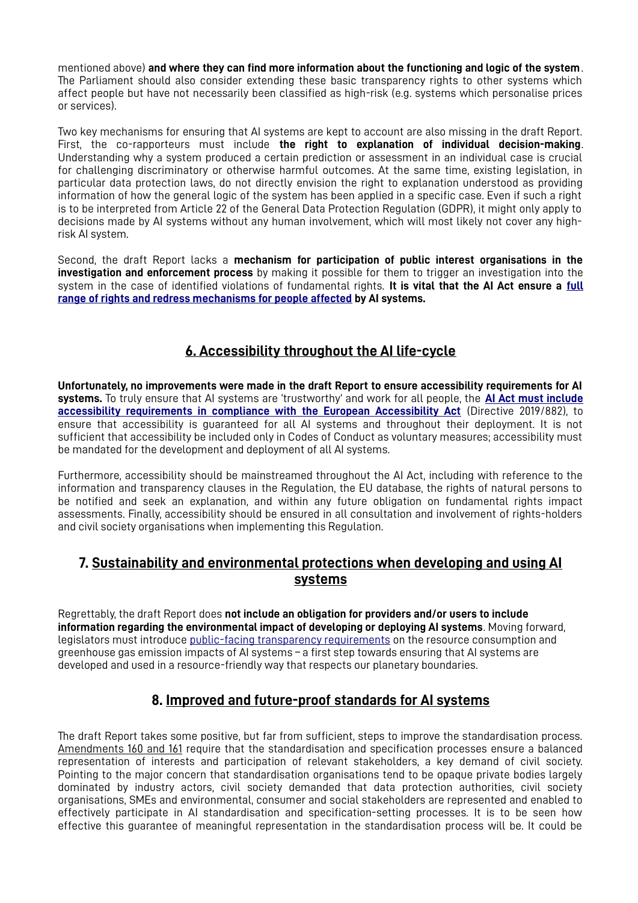mentioned above) **and where they can find more information about the functioning and logic of the system**. The Parliament should also consider extending these basic transparency rights to other systems which affect people but have not necessarily been classified as high-risk (e.g. systems which personalise prices or services).

Two key mechanisms for ensuring that AI systems are kept to account are also missing in the draft Report. First, the co-rapporteurs must include **the right to explanation of individual decision-making**. Understanding why a system produced a certain prediction or assessment in an individual case is crucial for challenging discriminatory or otherwise harmful outcomes. At the same time, existing legislation, in particular data protection laws, do not directly envision the right to explanation understood as providing information of how the general logic of the system has been applied in a specific case. Even if such a right is to be interpreted from Article 22 of the General Data Protection Regulation (GDPR), it might only apply to decisions made by AI systems without any human involvement, which will most likely not cover any highrisk AI system.

Second, the draft Report lacks a **mechanism for participation of public interest organisations in the investigation and enforcement process** by making it possible for them to trigger an investigation into the system in the case of identified violations of fundamental rights. **It is vital that the AI Act ensure a [full](https://edri.org/wp-content/uploads/2022/05/Rights-and-Redress-AIA-Amendments-for-online.pdf) [range of rights and redress mechanisms for people affected](https://edri.org/wp-content/uploads/2022/05/Rights-and-Redress-AIA-Amendments-for-online.pdf) by AI systems.**

# **6. Accessibility throughout the AI life-cycle**

**Unfortunately, no improvements were made in the draft Report to ensure accessibility requirements for AI systems.** To truly ensure that AI systems are 'trustworthy' and work for all people, the **[AI Act must include](https://www.edf-feph.org/publications/ensure-horizontal-and-mainstreamed-accessibility-requirements-for-all-artificial-intelligence-ai-systems-and-use/) [accessibility requirements in compliance with the European Accessibility Act](https://www.edf-feph.org/publications/ensure-horizontal-and-mainstreamed-accessibility-requirements-for-all-artificial-intelligence-ai-systems-and-use/)** (Directive 2019/882), to ensure that accessibility is guaranteed for all AI systems and throughout their deployment. It is not sufficient that accessibility be included only in Codes of Conduct as voluntary measures; accessibility must be mandated for the development and deployment of all AI systems.

Furthermore, accessibility should be mainstreamed throughout the AI Act, including with reference to the information and transparency clauses in the Regulation, the EU database, the rights of natural persons to be notified and seek an explanation, and within any future obligation on fundamental rights impact assessments. Finally, accessibility should be ensured in all consultation and involvement of rights-holders and civil society organisations when implementing this Regulation.

### **7. Sustainability and environmental protections when developing and using AI systems**

Regrettably, the draft Report does **not include an obligation for providers and/or users to include information regarding the environmental impact of developing or deploying AI systems**. Moving forward, legislators must introduce [public-facing transparency requirements](https://algorithmwatch.org/en/wp-content/uploads/2022/04/Sustainability-issue-paper-April2022.pdf) on the resource consumption and greenhouse gas emission impacts of AI systems – a first step towards ensuring that AI systems are developed and used in a resource-friendly way that respects our planetary boundaries.

## **8. Improved and future-proof standards for AI systems**

The draft Report takes some positive, but far from sufficient, steps to improve the standardisation process. Amendments 160 and 161 require that the standardisation and specification processes ensure a balanced representation of interests and participation of relevant stakeholders, a key demand of civil society. Pointing to the major concern that standardisation organisations tend to be opaque private bodies largely dominated by industry actors, civil society demanded that data protection authorities, civil society organisations, SMEs and environmental, consumer and social stakeholders are represented and enabled to effectively participate in AI standardisation and specification-setting processes. It is to be seen how effective this guarantee of meaningful representation in the standardisation process will be. It could be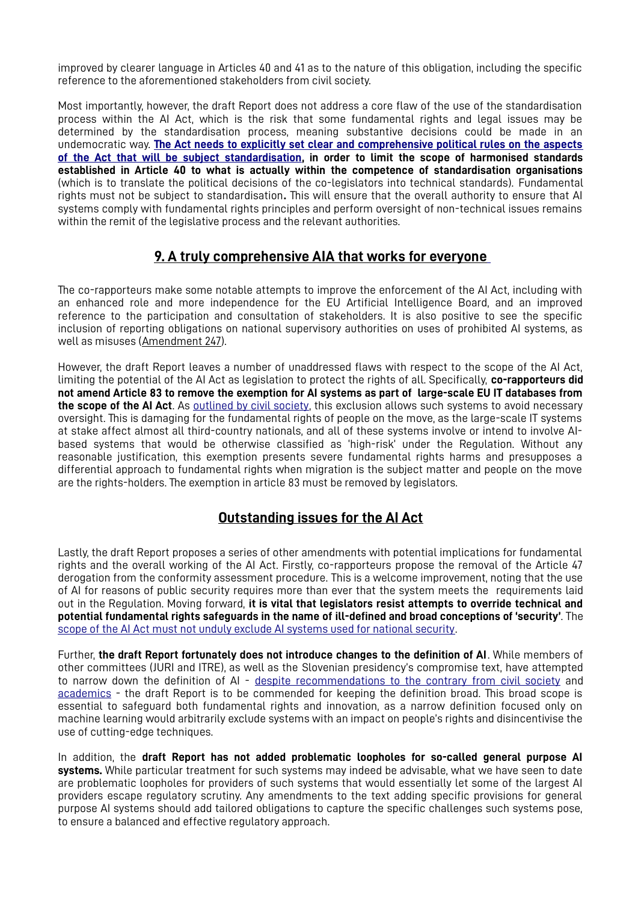improved by clearer language in Articles 40 and 41 as to the nature of this obligation, including the specific reference to the aforementioned stakeholders from civil society.

Most importantly, however, the draft Report does not address a core flaw of the use of the standardisation process within the AI Act, which is the risk that some fundamental rights and legal issues may be determined by the standardisation process, meaning substantive decisions could be made in an undemocratic way. **[The Act needs to explicitly set clear and comprehensive political rules on the aspects](https://edri.org/wp-content/uploads/2022/05/The-role-of-standards-and-standardisation-processes-in-the-EUs-Artificial-Intelligence-AI-Act.pdf) [of the Act that will be subject standardisation,](https://edri.org/wp-content/uploads/2022/05/The-role-of-standards-and-standardisation-processes-in-the-EUs-Artificial-Intelligence-AI-Act.pdf) in order to limit the scope of harmonised standards established in Article 40 to what is actually within the competence of standardisation organisations** (which is to translate the political decisions of the co-legislators into technical standards). Fundamental rights must not be subject to standardisation**.** This will ensure that the overall authority to ensure that AI systems comply with fundamental rights principles and perform oversight of non-technical issues remains within the remit of the legislative process and the relevant authorities.

### **9. A truly comprehensive AIA that works for everyone**

The co-rapporteurs make some notable attempts to improve the enforcement of the AI Act, including with an enhanced role and more independence for the EU Artificial Intelligence Board, and an improved reference to the participation and consultation of stakeholders. It is also positive to see the specific inclusion of reporting obligations on national supervisory authorities on uses of prohibited AI systems, as well as misuses (Amendment 247).

However, the draft Report leaves a number of unaddressed flaws with respect to the scope of the AI Act, limiting the potential of the AI Act as legislation to protect the rights of all. Specifically, **co-rapporteurs did not amend Article 83 to remove the exemption for AI systems as part of large-scale EU IT databases from the scope of the AI Act**. As [outlined by civil society](https://www.accessnow.org/AIAct-migration), this exclusion allows such systems to avoid necessary oversight. This is damaging for the fundamental rights of people on the move, as the large-scale IT systems at stake affect almost all third-country nationals, and all of these systems involve or intend to involve AIbased systems that would be otherwise classified as 'high-risk' under the Regulation. Without any reasonable justification, this exemption presents severe fundamental rights harms and presupposes a differential approach to fundamental rights when migration is the subject matter and people on the move are the rights-holders. The exemption in article 83 must be removed by legislators.

## **Outstanding issues for the AI Act**

Lastly, the draft Report proposes a series of other amendments with potential implications for fundamental rights and the overall working of the AI Act. Firstly, co-rapporteurs propose the removal of the Article 47 derogation from the conformity assessment procedure. This is a welcome improvement, noting that the use of AI for reasons of public security requires more than ever that the system meets the requirements laid out in the Regulation. Moving forward, **it is vital that legislators resist attempts to override technical and potential fundamental rights safeguards in the name of ill-defined and broad conceptions of 'security'**. The scope of the AI Act must not unduly exclude AI systems used for national security.

Further, **the draft Report fortunately does not introduce changes to the definition of AI**. While members of other committees (JURI and ITRE), as well as the Slovenian presidency's compromise text, have attempted to narrow down the definition of AI - [despite recommendations to the contrary from civil society](https://www.accessnow.org/cms/assets/uploads/2021/11/AI_Act_Statement_November_2021.pdf) and [academics](https://www.wired.com/story/artificial-intelligence-regulation-european-union/) - the draft Report is to be commended for keeping the definition broad. This broad scope is essential to safeguard both fundamental rights and innovation, as a narrow definition focused only on machine learning would arbitrarily exclude systems with an impact on people's rights and disincentivise the use of cutting-edge techniques.

In addition, the **draft Report has not added problematic loopholes for so-called general purpose AI systems.** While particular treatment for such systems may indeed be advisable, what we have seen to date are problematic loopholes for providers of such systems that would essentially let some of the largest AI providers escape regulatory scrutiny. Any amendments to the text adding specific provisions for general purpose AI systems should add tailored obligations to capture the specific challenges such systems pose, to ensure a balanced and effective regulatory approach.